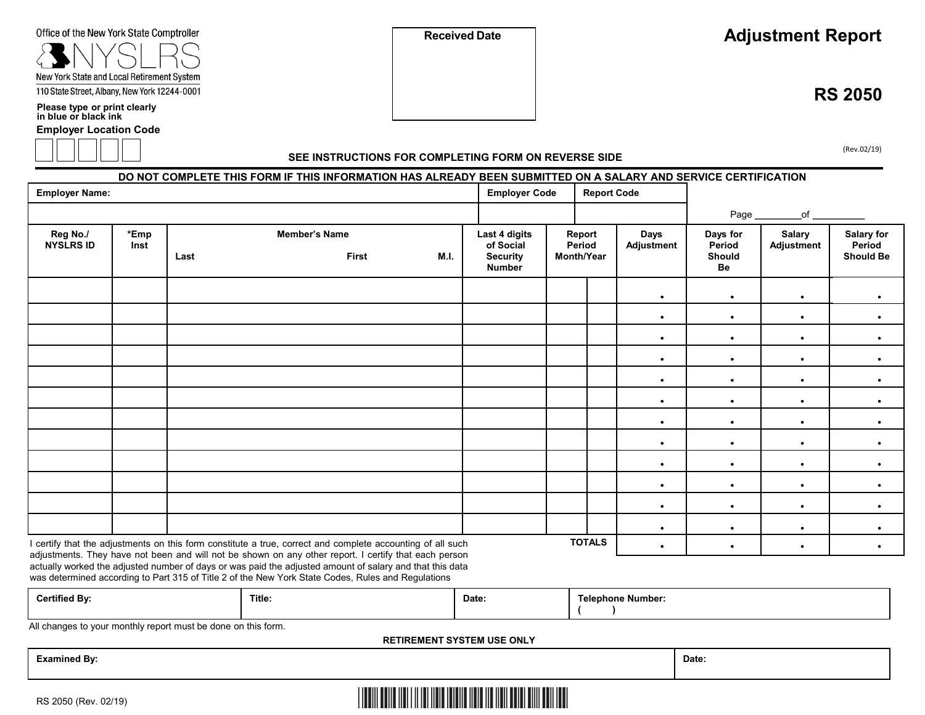| Office of the New York State Comptroller |  |
|------------------------------------------|--|
|------------------------------------------|--|

# NYSL New York State and Local Retirement System 110 State Street, Albany, New York 12244-0001

**Please type or print clearly in blue or black ink**

**Employer Location Code**



**RS 2050** 

(Rev.02/19)

### **SEE INSTRUCTIONS FOR COMPLETING FORM ON REVERSE SIDE**

**DO NOT COMPLETE THIS FORM IF THIS INFORMATION HAS ALREADY BEEN SUBMITTED ON A SALARY AND SERVICE CERTIFICATION Employer Name: Employer Code Report Code**  $\bullet$ Page **Reg No./ NYSLRS ID \*Emp Inst Member's Name** Last M.I. **Last 4 digits of Social Security Number Report Period Month/Year Days Adjustment Days fo Period Should Be r Salary Adjustment Salary for Period Should Be** I certify that the adjustments on this form constitute a true, correct and complete accounting of all such **TOTALS**  $\_$ of  $\_$  $\bullet$  $\bullet$  $\bullet$  $\bullet$  $\bullet$  $\bullet$  $\bullet$  $\bullet$  $\bullet$  $\bullet$  $\bullet$  $\bullet$  $\bullet$  $\bullet$  $\bullet$  $\bullet$  $\bullet$  $\bullet$  $\bullet$  $\bullet$  $\bullet$  $\bullet$  $\bullet$  $\bullet$  $\bullet$  $\bullet$  $\bullet$  $\bullet$  $\bullet$  $\bullet$  $\bullet$  $\bullet$  $\bullet$  $\bullet$  $\bullet$  $\bullet$  $\bullet$  $\bullet$  $\bullet$  $\bullet$  $\bullet$  $\bullet$  $\bullet$  $\bullet$  $\bullet$  $\bullet$  $\bullet$  $\bullet$  $\bullet$  , and a set of  $\bullet$  , and a set of  $\bullet$ 

adjustments. They have not been and will not be shown on any other report. I certify that each person actually worked the adjusted number of days or was paid the adjusted amount of salary and that this data was determined according to Part 315 of Title 2 of the New York State Codes, Rules and Regulations

|  | <br><b>Certified By:</b> | Title: | Date: | — —<br>Telephone Number: |
|--|--------------------------|--------|-------|--------------------------|
|--|--------------------------|--------|-------|--------------------------|

All changes to your monthly report must be done on this form.

**RETIREMENT SYSTEM USE ONLY**

**Examined By: Date:**